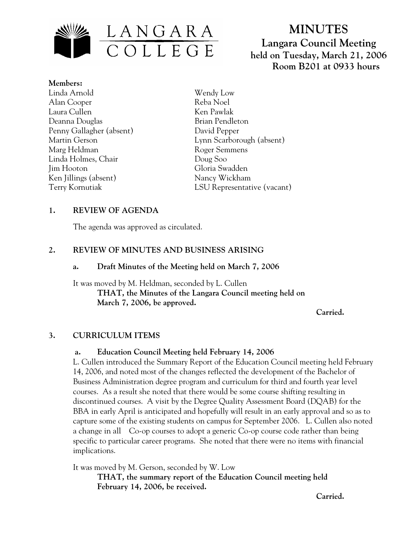

# **MINUTES Langara Council Meeting held on Tuesday, March 21, 2006 Room B201 at 0933 hours**

**Members:** Linda Arnold Alan Cooper Laura Cullen Deanna Douglas Penny Gallagher (absent) Martin Gerson Marg Heldman Linda Holmes, Chair Jim Hooton Ken Jillings (absent) Terry Kornutiak

Wendy Low Reba Noel Ken Pawlak Brian Pendleton David Pepper Lynn Scarborough (absent) Roger Semmens Doug Soo Gloria Swadden Nancy Wickham LSU Representative (vacant)

# **1. REVIEW OF AGENDA**

The agenda was approved as circulated.

# **2. REVIEW OF MINUTES AND BUSINESS ARISING**

### **a. Draft Minutes of the Meeting held on March 7, 2006**

It was moved by M. Heldman, seconded by L. Cullen  **THAT, the Minutes of the Langara Council meeting held on March 7, 2006, be approved.** 

*Carried. Carried.* 

# **3. CURRICULUM ITEMS**

#### **a. Education Council Meeting held February 14, 2006**

L. Cullen introduced the Summary Report of the Education Council meeting held February 14, 2006, and noted most of the changes reflected the development of the Bachelor of Business Administration degree program and curriculum for third and fourth year level courses. As a result she noted that there would be some course shifting resulting in discontinued courses. A visit by the Degree Quality Assessment Board (DQAB) for the BBA in early April is anticipated and hopefully will result in an early approval and so as to capture some of the existing students on campus for September 2006. L. Cullen also noted a change in all Co-op courses to adopt a generic Co-op course code rather than being specific to particular career programs. She noted that there were no items with financial implications.

It was moved by M. Gerson, seconded by W. Low

**THAT, the summary report of the Education Council meeting held February 14, 2006, be received.** 

*Carried. Carried.*